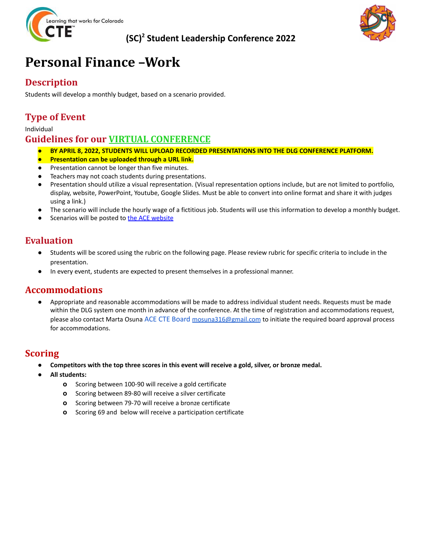

### **(SC) <sup>2</sup> Student Leadership Conference 2022**



## **Personal Finance –Work**

### **Description**

Students will develop a monthly budget, based on a scenario provided.

### **Type of Event**

#### Individual

#### **Guidelines for our VIRTUAL CONFERENCE**

- *●* **BY APRIL 8, 2022, STUDENTS WILL UPLOAD RECORDED PRESENTATIONS INTO THE DLG CONFERENCE PLATFORM.**
- **Presentation can be uploaded through a URL link.**
- *●* Presentation cannot be longer than five minutes.
- Teachers may not coach students during presentations.
- *●* Presentation should utilize a visual representation. (Visual representation options include, but are not limited to portfolio, display, website, PowerPoint, Youtube, Google Slides. Must be able to convert into online format and share it with judges using a link.)
- *●* The scenario will include the hourly wage of a fictitious job. Students will use this information to develop a monthly budget.
- Scenarios will be posted to the ACE [website](http://coloradostateplan.com/educator/ace/sc2/)

#### **Evaluation**

- Students will be scored using the rubric on the following page. Please review rubric for specific criteria to include in the presentation.
- In every event, students are expected to present themselves in a professional manner.

#### **Accommodations**

Appropriate and reasonable accommodations will be made to address individual student needs. Requests must be made within the DLG system one month in advance of the conference. At the time of registration and accommodations request, please also contact Marta Osuna ACE CTE Board [mosuna316@gmail.com](mailto:mosuna316@gmail.com) to initiate the required board approval process for accommodations.

#### **Scoring**

- Competitors with the top three scores in this event will receive a gold, silver, or bronze medal.
- **● All students:**
	- **o** Scoring between 100-90 will receive a gold certificate
	- **o** Scoring between 89-80 will receive a silver certificate
	- **o** Scoring between 79-70 will receive a bronze certificate
	- **o** Scoring 69 and below will receive a participation certificate